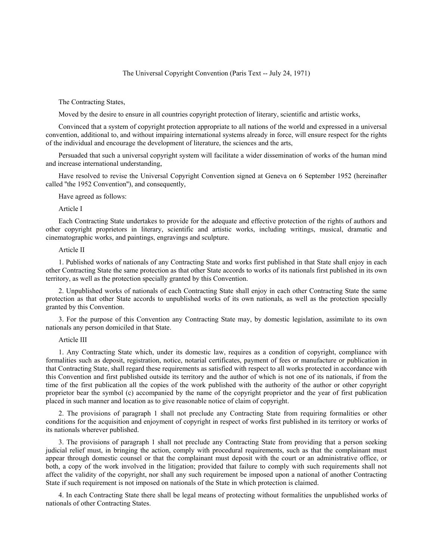# The Universal Copyright Convention (Paris Text -- July 24, 1971)

The Contracting States,

Moved by the desire to ensure in all countries copyright protection of literary, scientific and artistic works,

Convinced that a system of copyright protection appropriate to all nations of the world and expressed in a universal convention, additional to, and without impairing international systems already in force, will ensure respect for the rights of the individual and encourage the development of literature, the sciences and the arts,

Persuaded that such a universal copyright system will facilitate a wider dissemination of works of the human mind and increase international understanding,

Have resolved to revise the Universal Copyright Convention signed at Geneva on 6 September 1952 (hereinafter called ''the 1952 Convention''), and consequently,

Have agreed as follows:

Article I

Each Contracting State undertakes to provide for the adequate and effective protection of the rights of authors and other copyright proprietors in literary, scientific and artistic works, including writings, musical, dramatic and cinematographic works, and paintings, engravings and sculpture.

### Article II

1. Published works of nationals of any Contracting State and works first published in that State shall enjoy in each other Contracting State the same protection as that other State accords to works of its nationals first published in its own territory, as well as the protection specially granted by this Convention.

2. Unpublished works of nationals of each Contracting State shall enjoy in each other Contracting State the same protection as that other State accords to unpublished works of its own nationals, as well as the protection specially granted by this Convention.

3. For the purpose of this Convention any Contracting State may, by domestic legislation, assimilate to its own nationals any person domiciled in that State.

### Article III

1. Any Contracting State which, under its domestic law, requires as a condition of copyright, compliance with formalities such as deposit, registration, notice, notarial certificates, payment of fees or manufacture or publication in that Contracting State, shall regard these requirements as satisfied with respect to all works protected in accordance with this Convention and first published outside its territory and the author of which is not one of its nationals, if from the time of the first publication all the copies of the work published with the authority of the author or other copyright proprietor bear the symbol (c) accompanied by the name of the copyright proprietor and the year of first publication placed in such manner and location as to give reasonable notice of claim of copyright.

2. The provisions of paragraph 1 shall not preclude any Contracting State from requiring formalities or other conditions for the acquisition and enjoyment of copyright in respect of works first published in its territory or works of its nationals wherever published.

3. The provisions of paragraph 1 shall not preclude any Contracting State from providing that a person seeking judicial relief must, in bringing the action, comply with procedural requirements, such as that the complainant must appear through domestic counsel or that the complainant must deposit with the court or an administrative office, or both, a copy of the work involved in the litigation; provided that failure to comply with such requirements shall not affect the validity of the copyright, nor shall any such requirement be imposed upon a national of another Contracting State if such requirement is not imposed on nationals of the State in which protection is claimed.

4. In each Contracting State there shall be legal means of protecting without formalities the unpublished works of nationals of other Contracting States.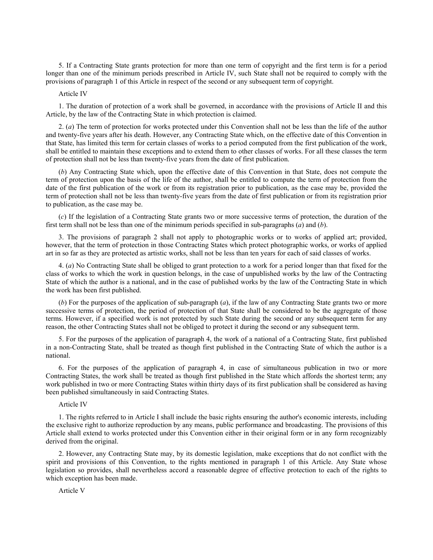5. If a Contracting State grants protection for more than one term of copyright and the first term is for a period longer than one of the minimum periods prescribed in Article IV, such State shall not be required to comply with the provisions of paragraph 1 of this Article in respect of the second or any subsequent term of copyright.

## Article IV

1. The duration of protection of a work shall be governed, in accordance with the provisions of Article II and this Article, by the law of the Contracting State in which protection is claimed.

2. (*a*) The term of protection for works protected under this Convention shall not be less than the life of the author and twenty-five years after his death. However, any Contracting State which, on the effective date of this Convention in that State, has limited this term for certain classes of works to a period computed from the first publication of the work, shall be entitled to maintain these exceptions and to extend them to other classes of works. For all these classes the term of protection shall not be less than twenty-five years from the date of first publication.

(*b*) Any Contracting State which, upon the effective date of this Convention in that State, does not compute the term of protection upon the basis of the life of the author, shall be entitled to compute the term of protection from the date of the first publication of the work or from its registration prior to publication, as the case may be, provided the term of protection shall not be less than twenty-five years from the date of first publication or from its registration prior to publication, as the case may be.

(*c*) If the legislation of a Contracting State grants two or more successive terms of protection, the duration of the first term shall not be less than one of the minimum periods specified in sub-paragraphs (*a*) and (*b*).

3. The provisions of paragraph 2 shall not apply to photographic works or to works of applied art; provided, however, that the term of protection in those Contracting States which protect photographic works, or works of applied art in so far as they are protected as artistic works, shall not be less than ten years for each of said classes of works.

4. (*a*) No Contracting State shall be obliged to grant protection to a work for a period longer than that fixed for the class of works to which the work in question belongs, in the case of unpublished works by the law of the Contracting State of which the author is a national, and in the case of published works by the law of the Contracting State in which the work has been first published.

(*b*) For the purposes of the application of sub-paragraph (*a*), if the law of any Contracting State grants two or more successive terms of protection, the period of protection of that State shall be considered to be the aggregate of those terms. However, if a specified work is not protected by such State during the second or any subsequent term for any reason, the other Contracting States shall not be obliged to protect it during the second or any subsequent term.

5. For the purposes of the application of paragraph 4, the work of a national of a Contracting State, first published in a non-Contracting State, shall be treated as though first published in the Contracting State of which the author is a national.

6. For the purposes of the application of paragraph 4, in case of simultaneous publication in two or more Contracting States, the work shall be treated as though first published in the State which affords the shortest term; any work published in two or more Contracting States within thirty days of its first publication shall be considered as having been published simultaneously in said Contracting States.

### Article IV

1. The rights referred to in Article I shall include the basic rights ensuring the author's economic interests, including the exclusive right to authorize reproduction by any means, public performance and broadcasting. The provisions of this Article shall extend to works protected under this Convention either in their original form or in any form recognizably derived from the original.

2. However, any Contracting State may, by its domestic legislation, make exceptions that do not conflict with the spirit and provisions of this Convention, to the rights mentioned in paragraph 1 of this Article. Any State whose legislation so provides, shall nevertheless accord a reasonable degree of effective protection to each of the rights to which exception has been made.

Article V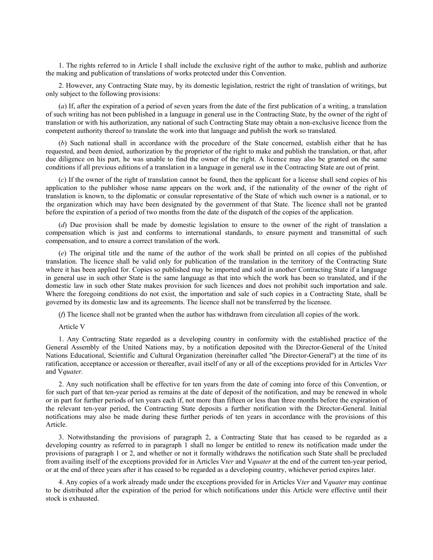1. The rights referred to in Article I shall include the exclusive right of the author to make, publish and authorize the making and publication of translations of works protected under this Convention.

2. However, any Contracting State may, by its domestic legislation, restrict the right of translation of writings, but only subject to the following provisions:

(*a*) If, after the expiration of a period of seven years from the date of the first publication of a writing, a translation of such writing has not been published in a language in general use in the Contracting State, by the owner of the right of translation or with his authorization, any national of such Contracting State may obtain a non-exclusive licence from the competent authority thereof to translate the work into that language and publish the work so translated.

(*b*) Such national shall in accordance with the procedure of the State concerned, establish either that he has requested, and been denied, authorization by the proprietor of the right to make and publish the translation, or that, after due diligence on his part, he was unable to find the owner of the right. A licence may also be granted on the same conditions if all previous editions of a translation in a language in general use in the Contracting State are out of print.

(*c*) If the owner of the right of translation cannot be found, then the applicant for a license shall send copies of his application to the publisher whose name appears on the work and, if the nationality of the owner of the right of translation is known, to the diplomatic or consular representative of the State of which such owner is a national, or to the organization which may have been designated by the government of that State. The licence shall not be granted before the expiration of a period of two months from the date of the dispatch of the copies of the application.

(*d*) Due provision shall be made by domestic legislation to ensure to the owner of the right of translation a compensation which is just and conforms to international standards, to ensure payment and transmittal of such compensation, and to ensure a correct translation of the work.

(*e*) The original title and the name of the author of the work shall be printed on all copies of the published translation. The licence shall be valid only for publication of the translation in the territory of the Contracting State where it has been applied for. Copies so published may be imported and sold in another Contracting State if a language in general use in such other State is the same language as that into which the work has been so translated, and if the domestic law in such other State makes provision for such licences and does not prohibit such importation and sale. Where the foregoing conditions do not exist, the importation and sale of such copies in a Contracting State, shall be governed by its domestic law and its agreements. The licence shall not be transferred by the licensee.

(*f*) The licence shall not be granted when the author has withdrawn from circulation all copies of the work.

Article V

1. Any Contracting State regarded as a developing country in conformity with the established practice of the General Assembly of the United Nations may, by a notification deposited with the Director-General of the United Nations Educational, Scientific and Cultural Organization (hereinafter called ''the Director-General'') at the time of its ratification, acceptance or accession or thereafter, avail itself of any or all of the exceptions provided for in Articles V*ter* and V*quater.*

2. Any such notification shall be effective for ten years from the date of coming into force of this Convention, or for such part of that ten-year period as remains at the date of deposit of the notification, and may be renewed in whole or in part for further periods of ten years each if, not more than fifteen or less than three months before the expiration of the relevant ten-year period, the Contracting State deposits a further notification with the Director-General. Initial notifications may also be made during these further periods of ten years in accordance with the provisions of this Article.

3. Notwithstanding the provisions of paragraph 2, a Contracting State that has ceased to be regarded as a developing country as referred to in paragraph 1 shall no longer be entitled to renew its notification made under the provisions of paragraph 1 or 2, and whether or not it formally withdraws the notification such State shall be precluded from availing itself of the exceptions provided for in Articles V*ter* and V*quater* at the end of the current ten-year period, or at the end of three years after it has ceased to be regarded as a developing country, whichever period expires later.

4. Any copies of a work already made under the exceptions provided for in Articles V*ter* and V*quater* may continue to be distributed after the expiration of the period for which notifications under this Article were effective until their stock is exhausted.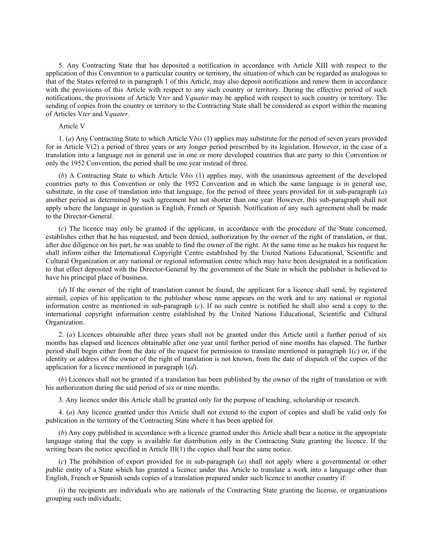5. Any Contracting State that has deposited a notification in accordance with Article XIII with respect to the application of this Convention to a particular country or territory, the situation of which can be regarded as analogous to that of the States referred to in paragraph 1 of this Article, may also deposit notifications and renew them in accordance with the provisions of this Article with respect to any such country or territory. During the effective period of such notifications, the provisions of Article V*ter* and V*quater* may be applied with respect to such country or territory. The sending of copies from the country or territory to the Contracting State shall be considered as export within the meaning of Articles V*ter* and V*quater.*

#### Article V

1. (*a*) Any Contracting State to which Article V*bis* (1) applies may substitute for the period of seven years provided for in Article V(2) a period of three years or any longer period prescribed by its legislation. However, in the case of a translation into a language not in general use in one or more developed countries that are party to this Convention or only the 1952 Convention, the period shall be one year instead of three.

(*b*) A Contracting State to which Article V*bis* (1) applies may, with the unanimous agreement of the developed countries party to this Convention or only the 1952 Convention and in which the same language is in general use, substitute, in the case of translation into that language, for the period of three years provided for in sub-paragraph (*a*) another period as determined by such agreement but not shorter than one year. However, this sub-paragraph shall not apply where the language in question is English, French or Spanish. Notification of any such agreement shall be made to the Director-General.

(*c*) The licence may only be granted if the applicant, in accordance with the procedure of the State concerned, establishes either that he has requested, and been denied, authorization by the owner of the right of translation, or that, after due diligence on his part, he was unable to find the owner of the right. At the same time as he makes his request he shall inform either the International Copyright Centre established by the United Nations Educational, Scientific and Cultural Organization or any national or regional information centre which may have been designated in a notification to that effect deposited with the Director-General by the government of the State in which the publisher is believed to have his principal place of business.

(*d*) If the owner of the right of translation cannot be found, the applicant for a licence shall send, by registered airmail, copies of his application to the publisher whose name appears on the work and to any national or regional information centre as mentioned in sub-paragraph (*c*). If no such centre is notified he shall also send a copy to the international copyright information centre established by the United Nations Educational, Scientific and Cultural Organization.

2. (*a*) Licences obtainable after three years shall not be granted under this Article until a further period of six months has elapsed and licences obtainable after one year until further period of nine months has elapsed. The further period shall begin either from the date of the request for permission to translate mentioned in paragraph 1(*c*) or, if the identity or address of the owner of the right of translation is not known, from the date of dispatch of the copies of the application for a licence mentioned in paragraph 1(*d*).

(*b*) Licences shall not be granted if a translation has been published by the owner of the right of translation or with his authorization during the said period of six or nine months.

3. Any licence under this Article shall be granted only for the purpose of teaching, scholarship or research.

4. (*a*) Any licence granted under this Article shall not extend to the export of copies and shall be valid only for publication in the territory of the Contracting State where it has been applied for.

(*b*) Any copy published in accordance with a licence granted under this Article shall bear a notice in the appropriate language stating that the copy is available for distribution only in the Contracting State granting the licence. If the writing bears the notice specified in Article III(1) the copies shall bear the same notice.

(*c*) The prohibition of export provided for in sub-paragraph (*a*) shall not apply where a governmental or other public entity of a State which has granted a licence under this Article to translate a work into a language other than English, French or Spanish sends copies of a translation prepared under such licence to another country if:

(i) the recipients are individuals who are nationals of the Contracting State granting the license, or organizations grouping such individuals;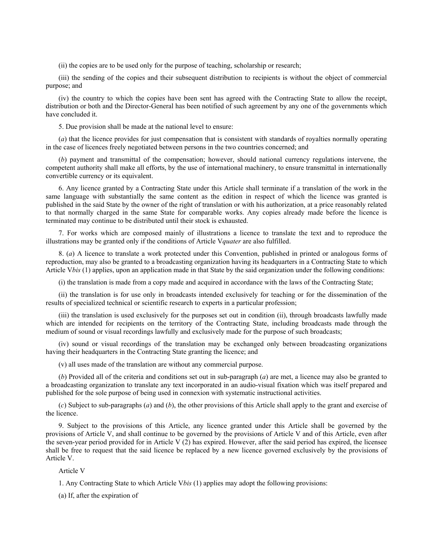(ii) the copies are to be used only for the purpose of teaching, scholarship or research;

(iii) the sending of the copies and their subsequent distribution to recipients is without the object of commercial purpose; and

(iv) the country to which the copies have been sent has agreed with the Contracting State to allow the receipt, distribution or both and the Director-General has been notified of such agreement by any one of the governments which have concluded it.

5. Due provision shall be made at the national level to ensure:

(*a*) that the licence provides for just compensation that is consistent with standards of royalties normally operating in the case of licences freely negotiated between persons in the two countries concerned; and

(*b*) payment and transmittal of the compensation; however, should national currency regulations intervene, the competent authority shall make all efforts, by the use of international machinery, to ensure transmittal in internationally convertible currency or its equivalent.

6. Any licence granted by a Contracting State under this Article shall terminate if a translation of the work in the same language with substantially the same content as the edition in respect of which the licence was granted is published in the said State by the owner of the right of translation or with his authorization, at a price reasonably related to that normally charged in the same State for comparable works. Any copies already made before the licence is terminated may continue to be distributed until their stock is exhausted.

7. For works which are composed mainly of illustrations a licence to translate the text and to reproduce the illustrations may be granted only if the conditions of Article V*quater* are also fulfilled.

8. (*a*) A licence to translate a work protected under this Convention, published in printed or analogous forms of reproduction, may also be granted to a broadcasting organization having its headquarters in a Contracting State to which Article V*bis* (1) applies, upon an application made in that State by the said organization under the following conditions:

(i) the translation is made from a copy made and acquired in accordance with the laws of the Contracting State;

(ii) the translation is for use only in broadcasts intended exclusively for teaching or for the dissemination of the results of specialized technical or scientific research to experts in a particular profession;

(iii) the translation is used exclusively for the purposes set out in condition (ii), through broadcasts lawfully made which are intended for recipients on the territory of the Contracting State, including broadcasts made through the medium of sound or visual recordings lawfully and exclusively made for the purpose of such broadcasts;

(iv) sound or visual recordings of the translation may be exchanged only between broadcasting organizations having their headquarters in the Contracting State granting the licence; and

(v) all uses made of the translation are without any commercial purpose.

(*b*) Provided all of the criteria and conditions set out in sub-paragraph (*a*) are met, a licence may also be granted to a broadcasting organization to translate any text incorporated in an audio-visual fixation which was itself prepared and published for the sole purpose of being used in connexion with systematic instructional activities.

(*c*) Subject to sub-paragraphs (*a*) and (*b*), the other provisions of this Article shall apply to the grant and exercise of the licence.

9. Subject to the provisions of this Article, any licence granted under this Article shall be governed by the provisions of Article V, and shall continue to be governed by the provisions of Article V and of this Article, even after the seven-year period provided for in Article V (2) has expired. However, after the said period has expired, the licensee shall be free to request that the said licence be replaced by a new licence governed exclusively by the provisions of Article V.

Article V

1. Any Contracting State to which Article V*bis* (1) applies may adopt the following provisions:

(a) If, after the expiration of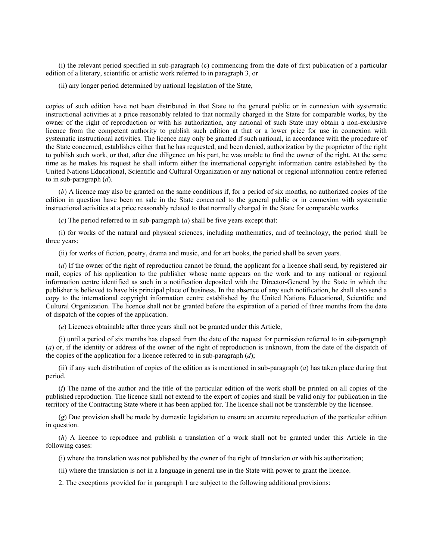(i) the relevant period specified in sub-paragraph (c) commencing from the date of first publication of a particular edition of a literary, scientific or artistic work referred to in paragraph 3, or

(ii) any longer period determined by national legislation of the State,

copies of such edition have not been distributed in that State to the general public or in connexion with systematic instructional activities at a price reasonably related to that normally charged in the State for comparable works, by the owner of the right of reproduction or with his authorization, any national of such State may obtain a non-exclusive licence from the competent authority to publish such edition at that or a lower price for use in connexion with systematic instructional activities. The licence may only be granted if such national, in accordance with the procedure of the State concerned, establishes either that he has requested, and been denied, authorization by the proprietor of the right to publish such work, or that, after due diligence on his part, he was unable to find the owner of the right. At the same time as he makes his request he shall inform either the international copyright information centre established by the United Nations Educational, Scientific and Cultural Organization or any national or regional information centre referred to in sub-paragraph (*d*).

(*b*) A licence may also be granted on the same conditions if, for a period of six months, no authorized copies of the edition in question have been on sale in the State concerned to the general public or in connexion with systematic instructional activities at a price reasonably related to that normally charged in the State for comparable works.

(*c*) The period referred to in sub-paragraph (*a*) shall be five years except that:

(i) for works of the natural and physical sciences, including mathematics, and of technology, the period shall be three years;

(ii) for works of fiction, poetry, drama and music, and for art books, the period shall be seven years.

(*d*) If the owner of the right of reproduction cannot be found, the applicant for a licence shall send, by registered air mail, copies of his application to the publisher whose name appears on the work and to any national or regional information centre identified as such in a notification deposited with the Director-General by the State in which the publisher is believed to have his principal place of business. In the absence of any such notification, he shall also send a copy to the international copyright information centre established by the United Nations Educational, Scientific and Cultural Organization. The licence shall not be granted before the expiration of a period of three months from the date of dispatch of the copies of the application.

(*e*) Licences obtainable after three years shall not be granted under this Article,

(i) until a period of six months has elapsed from the date of the request for permission referred to in sub-paragraph (*a*) or, if the identity or address of the owner of the right of reproduction is unknown, from the date of the dispatch of the copies of the application for a licence referred to in sub-paragraph (*d*);

(ii) if any such distribution of copies of the edition as is mentioned in sub-paragraph (*a*) has taken place during that period.

(*f*) The name of the author and the title of the particular edition of the work shall be printed on all copies of the published reproduction. The licence shall not extend to the export of copies and shall be valid only for publication in the territory of the Contracting State where it has been applied for. The licence shall not be transferable by the licensee.

(*g*) Due provision shall be made by domestic legislation to ensure an accurate reproduction of the particular edition in question.

(*h*) A licence to reproduce and publish a translation of a work shall not be granted under this Article in the following cases:

(i) where the translation was not published by the owner of the right of translation or with his authorization;

(ii) where the translation is not in a language in general use in the State with power to grant the licence.

2. The exceptions provided for in paragraph 1 are subject to the following additional provisions: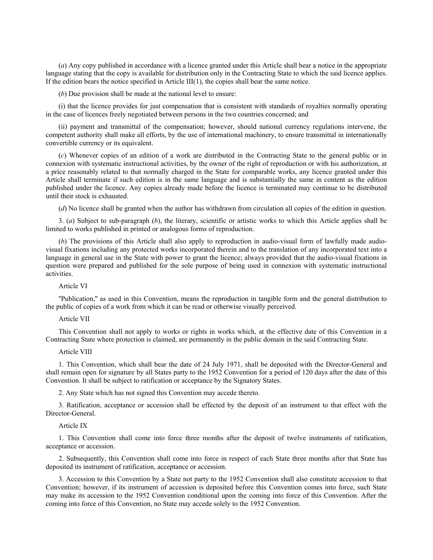(*a*) Any copy published in accordance with a licence granted under this Article shall bear a notice in the appropriate language stating that the copy is available for distribution only in the Contracting State to which the said licence applies. If the edition bears the notice specified in Article III(1), the copies shall bear the same notice.

(*b*) Due provision shall be made at the national level to ensure:

(i) that the licence provides for just compensation that is consistent with standards of royalties normally operating in the case of licences freely negotiated between persons in the two countries concerned; and

(ii) payment and transmittal of the compensation; however, should national currency regulations intervene, the competent authority shall make all efforts, by the use of international machinery, to ensure transmittal in internationally convertible currency or its equivalent.

(*c*) Whenever copies of an edition of a work are distributed in the Contracting State to the general public or in connexion with systematic instructional activities, by the owner of the right of reproduction or with his authorization, at a price reasonably related to that normally charged in the State for comparable works, any licence granted under this Article shall terminate if such edition is in the same language and is substantially the same in content as the edition published under the licence. Any copies already made before the licence is terminated may continue to be distributed until their stock is exhausted.

(*d*) No licence shall be granted when the author has withdrawn from circulation all copies of the edition in question.

3. (*a*) Subject to sub-paragraph (*b*), the literary, scientific or artistic works to which this Article applies shall be limited to works published in printed or analogous forms of reproduction.

(*b*) The provisions of this Article shall also apply to reproduction in audio-visual form of lawfully made audiovisual fixations including any protected works incorporated therein and to the translation of any incorporated text into a language in general use in the State with power to grant the licence; always provided that the audio-visual fixations in question were prepared and published for the sole purpose of being used in connexion with systematic instructional activities.

Article VI

''Publication,'' as used in this Convention, means the reproduction in tangible form and the general distribution to the public of copies of a work from which it can be read or otherwise visually perceived.

## Article VII

This Convention shall not apply to works or rights in works which, at the effective date of this Convention in a Contracting State where protection is claimed, are permanently in the public domain in the said Contracting State.

### Article VIII

1. This Convention, which shall bear the date of 24 July 1971, shall be deposited with the Director-General and shall remain open for signature by all States party to the 1952 Convention for a period of 120 days after the date of this Convention. It shall be subject to ratification or acceptance by the Signatory States.

2. Any State which has not signed this Convention may accede thereto.

3. Ratification, acceptance or accession shall be effected by the deposit of an instrument to that effect with the Director-General.

## Article IX

1. This Convention shall come into force three months after the deposit of twelve instruments of ratification, acceptance or accession.

2. Subsequently, this Convention shall come into force in respect of each State three months after that State has deposited its instrument of ratification, acceptance or accession.

3. Accession to this Convention by a State not party to the 1952 Convention shall also constitute accession to that Convention; however, if its instrument of accession is deposited before this Convention comes into force, such State may make its accession to the 1952 Convention conditional upon the coming into force of this Convention. After the coming into force of this Convention, no State may accede solely to the 1952 Convention.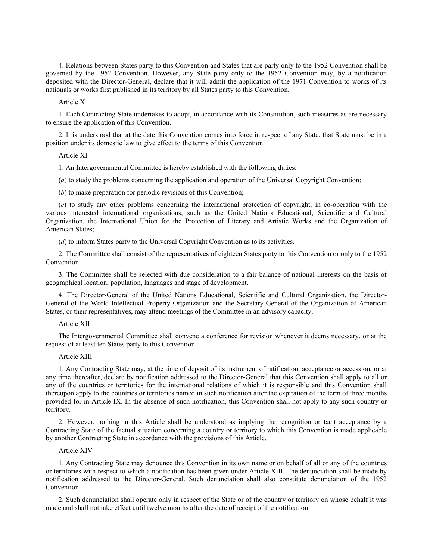4. Relations between States party to this Convention and States that are party only to the 1952 Convention shall be governed by the 1952 Convention. However, any State party only to the 1952 Convention may, by a notification deposited with the Director-General, declare that it will admit the application of the 1971 Convention to works of its nationals or works first published in its territory by all States party to this Convention.

Article X

1. Each Contracting State undertakes to adopt, in accordance with its Constitution, such measures as are necessary to ensure the application of this Convention.

2. It is understood that at the date this Convention comes into force in respect of any State, that State must be in a position under its domestic law to give effect to the terms of this Convention.

### Article XI

1. An Intergovernmental Committee is hereby established with the following duties:

(*a*) to study the problems concerning the application and operation of the Universal Copyright Convention;

(*b*) to make preparation for periodic revisions of this Convention;

(*c*) to study any other problems concerning the international protection of copyright, in co-operation with the various interested international organizations, such as the United Nations Educational, Scientific and Cultural Organization, the International Union for the Protection of Literary and Artistic Works and the Organization of American States;

(*d*) to inform States party to the Universal Copyright Convention as to its activities.

2. The Committee shall consist of the representatives of eighteen States party to this Convention or only to the 1952 Convention.

3. The Committee shall be selected with due consideration to a fair balance of national interests on the basis of geographical location, population, languages and stage of development.

4. The Director-General of the United Nations Educational, Scientific and Cultural Organization, the Director-General of the World Intellectual Property Organization and the Secretary-General of the Organization of American States, or their representatives, may attend meetings of the Committee in an advisory capacity.

### Article XII

The Intergovernmental Committee shall convene a conference for revision whenever it deems necessary, or at the request of at least ten States party to this Convention.

#### Article XIII

1. Any Contracting State may, at the time of deposit of its instrument of ratification, acceptance or accession, or at any time thereafter, declare by notification addressed to the Director-General that this Convention shall apply to all or any of the countries or territories for the international relations of which it is responsible and this Convention shall thereupon apply to the countries or territories named in such notification after the expiration of the term of three months provided for in Article IX. In the absence of such notification, this Convention shall not apply to any such country or territory.

2. However, nothing in this Article shall be understood as implying the recognition or tacit acceptance by a Contracting State of the factual situation concerning a country or territory to which this Convention is made applicable by another Contracting State in accordance with the provisions of this Article.

# Article XIV

1. Any Contracting State may denounce this Convention in its own name or on behalf of all or any of the countries or territories with respect to which a notification has been given under Article XIII. The denunciation shall be made by notification addressed to the Director-General. Such denunciation shall also constitute denunciation of the 1952 Convention.

2. Such denunciation shall operate only in respect of the State or of the country or territory on whose behalf it was made and shall not take effect until twelve months after the date of receipt of the notification.